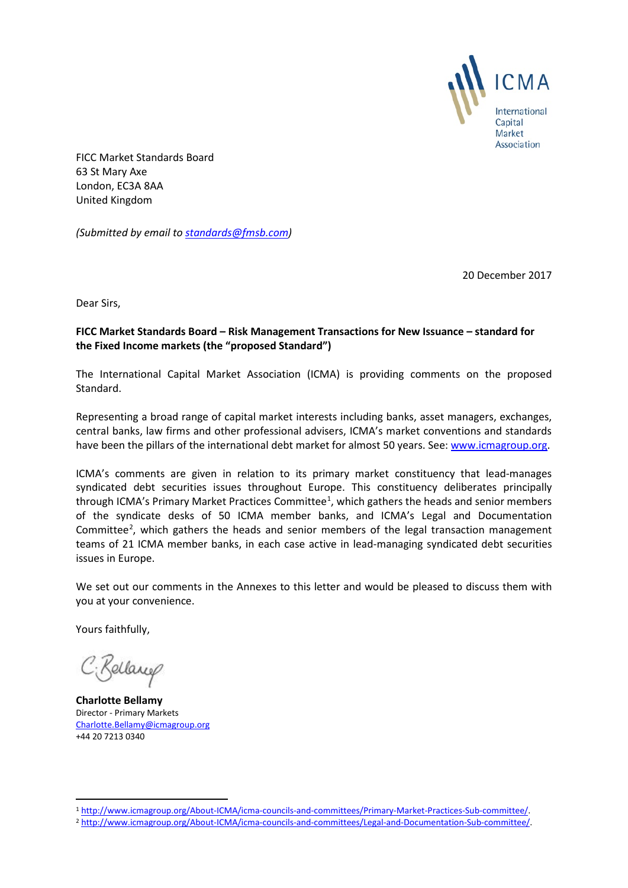

FICC Market Standards Board 63 St Mary Axe London, EC3A 8AA United Kingdom

*(Submitted by email t[o standards@fmsb.com\)](mailto:standards@fmsb.com)*

20 December 2017

Dear Sirs,

# **FICC Market Standards Board – Risk Management Transactions for New Issuance – standard for the Fixed Income markets (the "proposed Standard")**

The International Capital Market Association (ICMA) is providing comments on the proposed Standard.

Representing a broad range of capital market interests including banks, asset managers, exchanges, central banks, law firms and other professional advisers, ICMA's market conventions and standards have been the pillars of the international debt market for almost 50 years. See: [www.icmagroup.org.](http://www.icmagroup.org/)

ICMA's comments are given in relation to its primary market constituency that lead-manages syndicated debt securities issues throughout Europe. This constituency deliberates principally through ICMA's Primary Market Practices Committee<sup>[1](#page-0-0)</sup>, which gathers the heads and senior members of the syndicate desks of 50 ICMA member banks, and ICMA's Legal and Documentation Committee<sup>[2](#page-0-1)</sup>, which gathers the heads and senior members of the legal transaction management teams of 21 ICMA member banks, in each case active in lead-managing syndicated debt securities issues in Europe.

We set out our comments in the Annexes to this letter and would be pleased to discuss them with you at your convenience.

Yours faithfully,

C: Bellang

**Charlotte Bellamy** Director - Primary Markets [Charlotte.Bellamy@icmagroup.org](mailto:Charlotte.Bellamy@icmagroup.org) +44 20 7213 0340

<span id="page-0-1"></span>

<span id="page-0-0"></span><sup>&</sup>lt;sup>1</sup> [http://www.icmagroup.org/About-ICMA/icma-councils-and-committees/Primary-Market-Practices-Sub-committee/.](http://www.icmagroup.org/About-ICMA/icma-councils-and-committees/Primary-Market-Practices-Sub-committee/)<br><sup>2</sup> [http://www.icmagroup.org/About-ICMA/icma-councils-and-committees/Legal-and-Documentation-Sub-committee/.](http://www.icmagroup.org/About-ICMA/icma-councils-and-committees/Legal-and-Documentation-Sub-committee/)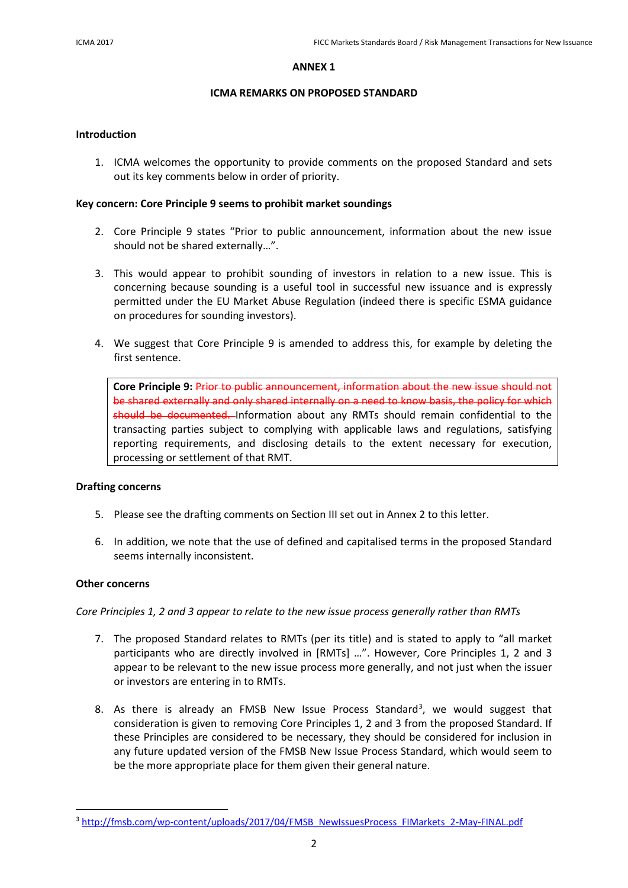## **ANNEX 1**

# **ICMA REMARKS ON PROPOSED STANDARD**

# **Introduction**

1. ICMA welcomes the opportunity to provide comments on the proposed Standard and sets out its key comments below in order of priority.

## **Key concern: Core Principle 9 seems to prohibit market soundings**

- 2. Core Principle 9 states "Prior to public announcement, information about the new issue should not be shared externally…".
- 3. This would appear to prohibit sounding of investors in relation to a new issue. This is concerning because sounding is a useful tool in successful new issuance and is expressly permitted under the EU Market Abuse Regulation (indeed there is specific ESMA guidance on procedures for sounding investors).
- 4. We suggest that Core Principle 9 is amended to address this, for example by deleting the first sentence.

**Core Principle 9:** Prior to public announcement, information about the new issue should not be shared externally and only shared internally on a need to know basis, the policy for which should be documented. Information about any RMTs should remain confidential to the transacting parties subject to complying with applicable laws and regulations, satisfying reporting requirements, and disclosing details to the extent necessary for execution, processing or settlement of that RMT.

# **Drafting concerns**

- 5. Please see the drafting comments on Section III set out in Annex 2 to this letter.
- 6. In addition, we note that the use of defined and capitalised terms in the proposed Standard seems internally inconsistent.

# **Other concerns**

*Core Principles 1, 2 and 3 appear to relate to the new issue process generally rather than RMTs*

- 7. The proposed Standard relates to RMTs (per its title) and is stated to apply to "all market participants who are directly involved in [RMTs] …". However, Core Principles 1, 2 and 3 appear to be relevant to the new issue process more generally, and not just when the issuer or investors are entering in to RMTs.
- 8. As there is already an FMSB New Issue Process Standard<sup>[3](#page-1-0)</sup>, we would suggest that consideration is given to removing Core Principles 1, 2 and 3 from the proposed Standard. If these Principles are considered to be necessary, they should be considered for inclusion in any future updated version of the FMSB New Issue Process Standard, which would seem to be the more appropriate place for them given their general nature.

<span id="page-1-0"></span><sup>3</sup> [http://fmsb.com/wp-content/uploads/2017/04/FMSB\\_NewIssuesProcess\\_FIMarkets\\_2-May-FINAL.pdf](http://fmsb.com/wp-content/uploads/2017/04/FMSB_NewIssuesProcess_FIMarkets_2-May-FINAL.pdf)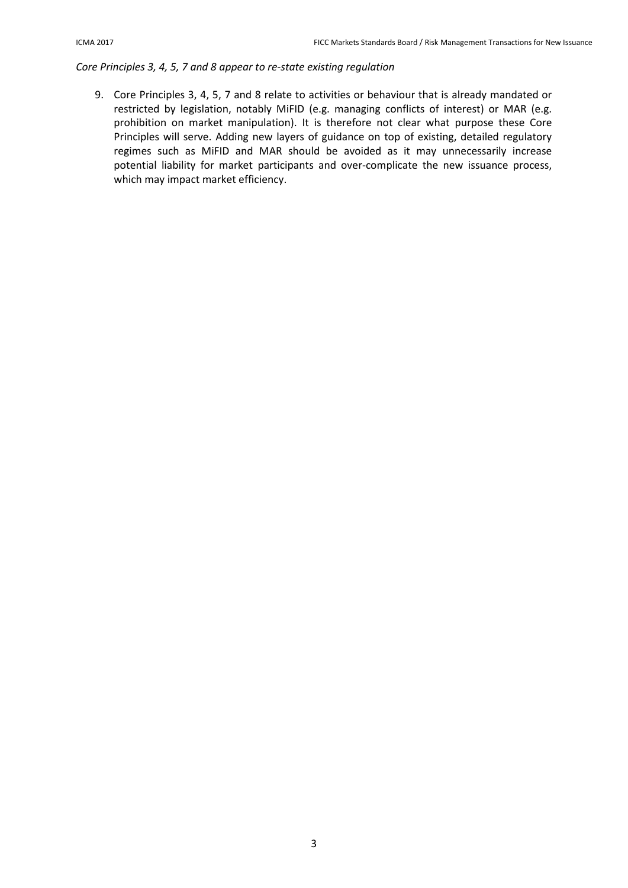# *Core Principles 3, 4, 5, 7 and 8 appear to re-state existing regulation*

9. Core Principles 3, 4, 5, 7 and 8 relate to activities or behaviour that is already mandated or restricted by legislation, notably MiFID (e.g. managing conflicts of interest) or MAR (e.g. prohibition on market manipulation). It is therefore not clear what purpose these Core Principles will serve. Adding new layers of guidance on top of existing, detailed regulatory regimes such as MiFID and MAR should be avoided as it may unnecessarily increase potential liability for market participants and over-complicate the new issuance process, which may impact market efficiency.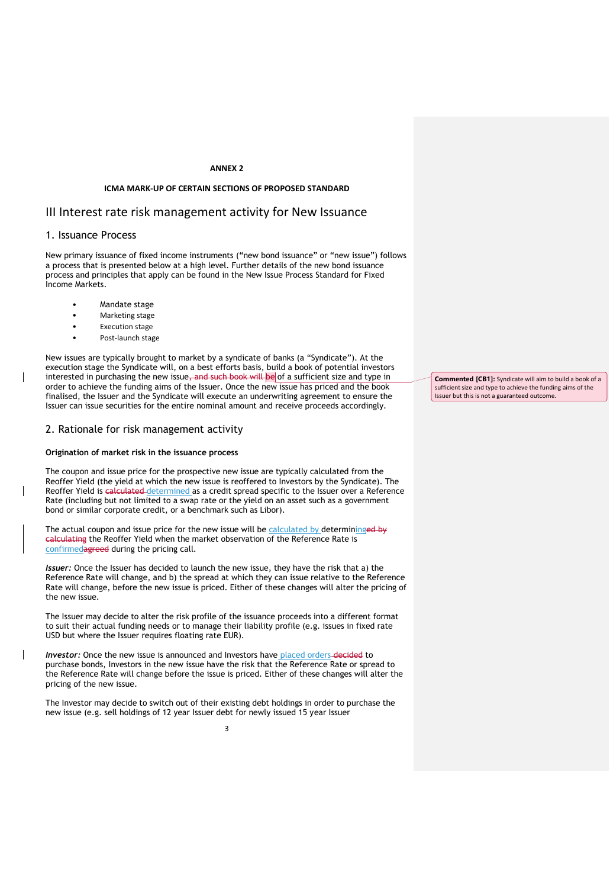### **ANNEX 2**

### **ICMA MARK-UP OF CERTAIN SECTIONS OF PROPOSED STANDARD**

## III Interest rate risk management activity for New Issuance

### 1. Issuance Process

New primary issuance of fixed income instruments ("new bond issuance" or "new issue") follows a process that is presented below at a high level. Further details of the new bond issuance process and principles that apply can be found in the New Issue Process Standard for Fixed Income Markets.

- Mandate stage
- Marketing stage
- Execution stage
- Post-launch stage

New issues are typically brought to market by a syndicate of banks (a "Syndicate"). At the execution stage the Syndicate will, on a best efforts basis, build a book of potential investors interested in purchasing the new issue, and such book will be of a sufficient size and type in order to achieve the funding aims of the Issuer. Once the new issue has priced and the book finalised, the Issuer and the Syndicate will execute an underwriting agreement to ensure the Issuer can issue securities for the entire nominal amount and receive proceeds accordingly.

## 2. Rationale for risk management activity

### **Origination of market risk in the issuance process**

The coupon and issue price for the prospective new issue are typically calculated from the Reoffer Yield (the yield at which the new issue is reoffered to Investors by the Syndicate). The Reoffer Yield is calculated determined as a credit spread specific to the Issuer over a Reference Rate (including but not limited to a swap rate or the yield on an asset such as a government bond or similar corporate credit, or a benchmark such as Libor).

The actual coupon and issue price for the new issue will be calculated by determininged by calculating the Reoffer Yield when the market observation of the Reference Rate is confirmedagreed during the pricing call.

*Issuer:* Once the Issuer has decided to launch the new issue, they have the risk that a) the Reference Rate will change, and b) the spread at which they can issue relative to the Reference Rate will change, before the new issue is priced. Either of these changes will alter the pricing of the new issue.

The Issuer may decide to alter the risk profile of the issuance proceeds into a different format to suit their actual funding needs or to manage their liability profile (e.g. issues in fixed rate USD but where the Issuer requires floating rate EUR).

*Investor:* Once the new issue is announced and Investors have placed orders-decided to purchase bonds, Investors in the new issue have the risk that the Reference Rate or spread to the Reference Rate will change before the issue is priced. Either of these changes will alter the pricing of the new issue.

The Investor may decide to switch out of their existing debt holdings in order to purchase the new issue (e.g. sell holdings of 12 year Issuer debt for newly issued 15 year Issuer

**Commented [CB1]:** Syndicate will aim to build a book of a sufficient size and type to achieve the funding aims of the Issuer but this is not a guaranteed outcome.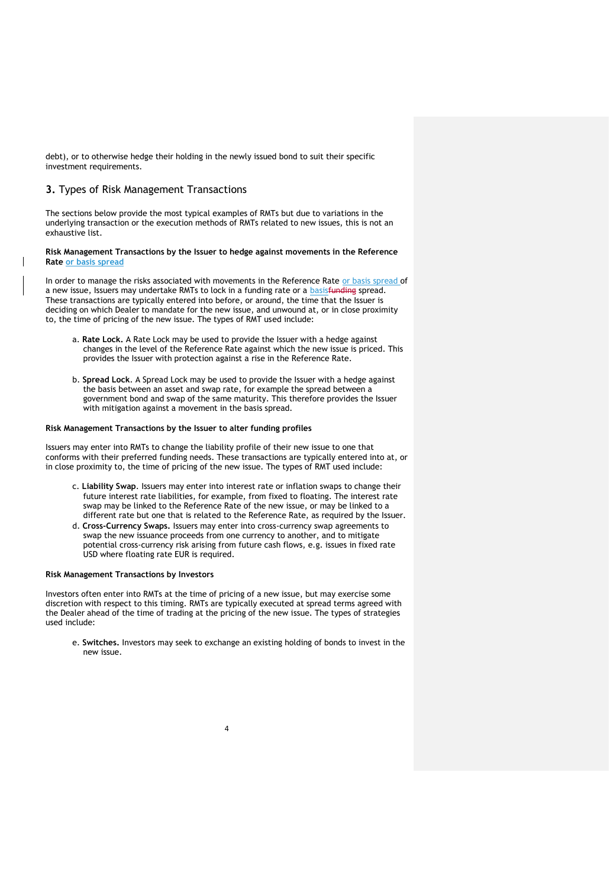debt), or to otherwise hedge their holding in the newly issued bond to suit their specific investment requirements.

## **3.** Types of Risk Management Transactions

The sections below provide the most typical examples of RMTs but due to variations in the underlying transaction or the execution methods of RMTs related to new issues, this is not an exhaustive list.

### **Risk Management Transactions by the Issuer to hedge against movements in the Reference Rate or basis spread**

In order to manage the risks associated with movements in the Reference Rate or basis spread of a new issue, Issuers may undertake RMTs to lock in a funding rate or a basisfunding spread. These transactions are typically entered into before, or around, the time that the Issuer is deciding on which Dealer to mandate for the new issue, and unwound at, or in close proximity to, the time of pricing of the new issue. The types of RMT used include:

- a. **Rate Lock.** A Rate Lock may be used to provide the Issuer with a hedge against changes in the level of the Reference Rate against which the new issue is priced. This provides the Issuer with protection against a rise in the Reference Rate.
- b. **Spread Lock**. A Spread Lock may be used to provide the Issuer with a hedge against the basis between an asset and swap rate, for example the spread between a government bond and swap of the same maturity. This therefore provides the Issuer with mitigation against a movement in the basis spread.

#### **Risk Management Transactions by the Issuer to alter funding profiles**

Issuers may enter into RMTs to change the liability profile of their new issue to one that conforms with their preferred funding needs. These transactions are typically entered into at, or in close proximity to, the time of pricing of the new issue. The types of RMT used include:

- c. **Liability Swap**. Issuers may enter into interest rate or inflation swaps to change their future interest rate liabilities, for example, from fixed to floating. The interest rate swap may be linked to the Reference Rate of the new issue, or may be linked to a different rate but one that is related to the Reference Rate, as required by the Issuer.
- d. **Cross-Currency Swaps.** Issuers may enter into cross-currency swap agreements to swap the new issuance proceeds from one currency to another, and to mitigate potential cross-currency risk arising from future cash flows, e.g. issues in fixed rate USD where floating rate EUR is required.

### **Risk Management Transactions by Investors**

Investors often enter into RMTs at the time of pricing of a new issue, but may exercise some discretion with respect to this timing. RMTs are typically executed at spread terms agreed with the Dealer ahead of the time of trading at the pricing of the new issue. The types of strategies used include:

e. **Switches.** Investors may seek to exchange an existing holding of bonds to invest in the new issue.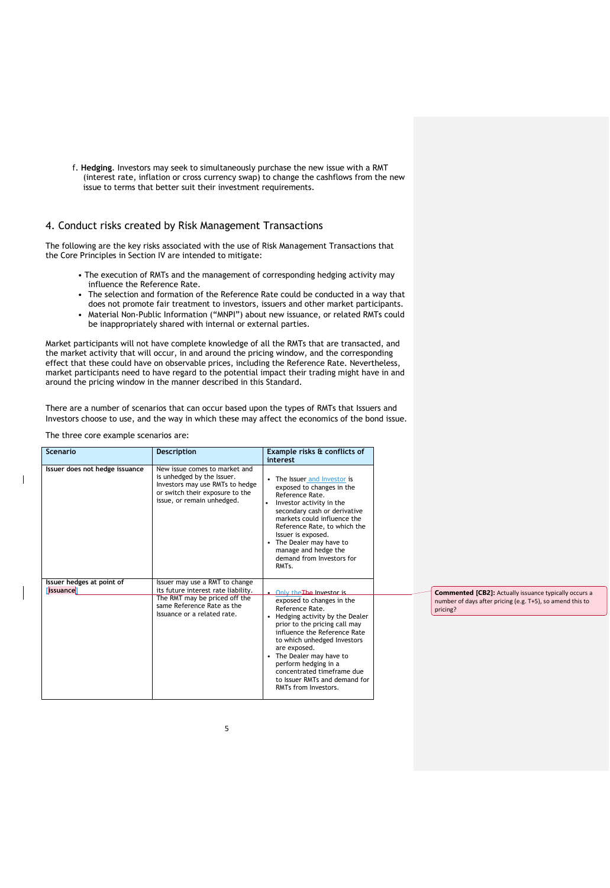f. **Hedging**. Investors may seek to simultaneously purchase the new issue with a RMT (interest rate, inflation or cross currency swap) to change the cashflows from the new issue to terms that better suit their investment requirements.

## 4. Conduct risks created by Risk Management Transactions

The following are the key risks associated with the use of Risk Management Transactions that the Core Principles in Section IV are intended to mitigate:

- The execution of RMTs and the management of corresponding hedging activity may influence the Reference Rate.
- The selection and formation of the Reference Rate could be conducted in a way that does not promote fair treatment to investors, issuers and other market participants.
- Material Non-Public Information ("MNPI") about new issuance, or related RMTs could be inappropriately shared with internal or external parties.

Market participants will not have complete knowledge of all the RMTs that are transacted, and the market activity that will occur, in and around the pricing window, and the corresponding effect that these could have on observable prices, including the Reference Rate. Nevertheless, market participants need to have regard to the potential impact their trading might have in and around the pricing window in the manner described in this Standard.

There are a number of scenarios that can occur based upon the types of RMTs that Issuers and Investors choose to use, and the way in which these may affect the economics of the bond issue.

The three core example scenarios are:

| Scenario                                      | <b>Description</b>                                                                                                                                              | Example risks & conflicts of<br>interest                                                                                                                                                                                                                                                                                                |  |  |
|-----------------------------------------------|-----------------------------------------------------------------------------------------------------------------------------------------------------------------|-----------------------------------------------------------------------------------------------------------------------------------------------------------------------------------------------------------------------------------------------------------------------------------------------------------------------------------------|--|--|
| Issuer does not hedge issuance                | New issue comes to market and<br>is unhedged by the Issuer.<br>Investors may use RMTs to hedge<br>or switch their exposure to the<br>issue, or remain unhedged. | The Issuer and Investor is<br>exposed to changes in the<br>Reference Rate.<br>Investor activity in the<br>۰<br>secondary cash or derivative<br>markets could influence the<br>Reference Rate, to which the<br>Issuer is exposed.<br>The Dealer may have to<br>manage and hedge the<br>demand from Investors for<br>RMT <sub>S</sub> .   |  |  |
| Issuer hedges at point of<br><b>Tissuance</b> | Issuer may use a RMT to change<br>its future interest rate liability.                                                                                           | Only the The Investor is                                                                                                                                                                                                                                                                                                                |  |  |
|                                               | The RMT may be priced off the<br>same Reference Rate as the<br>Issuance or a related rate.                                                                      | exposed to changes in the<br>Reference Rate.<br>Hedging activity by the Dealer<br>prior to the pricing call may<br>influence the Reference Rate<br>to which unhedged Investors<br>are exposed.<br>The Dealer may have to<br>perform hedging in a<br>concentrated timeframe due<br>to Issuer RMTs and demand for<br>RMTs from Investors. |  |  |

**Commented [CB2]:** Actually issuance typically occurs a number of days after pricing (e.g. T+5), so amend this to pricing?